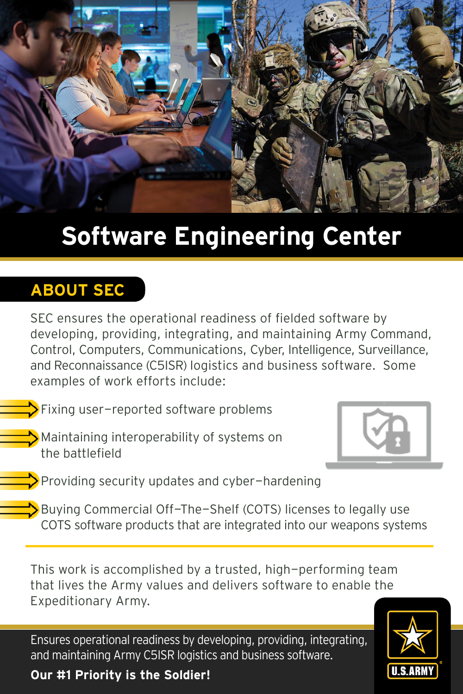

# **Software Engineering Center**

## **ABOUT SEC**

SEC ensures the operational readiness of fielded software by developing, providing, integrating, and maintaining Army Command, Control, Computers, Communications, Cyber, Intelligence, Surveillance, and Reconnaissance (C5ISR) logistics and business software. Some examples of work efforts include:

 $\sum$  Fixing user-reported software problems

Maintaining interoperability of systems on the battlefield



 $\triangleright$  Providing security updates and cyber-hardening

Buying Commercial Off-The-Shelf (COTS) licenses to legally use COTS software products that are integrated into our weapons systems

This work is accomplished by a trusted, high-performing team that lives the Army values and delivers software to enable the Expeditionary Army.

Ensures operational readiness by developing, providing, integrating, and maintaining Army C5ISR logistics and business software.

**Our #1 Priority is the Soldier!**